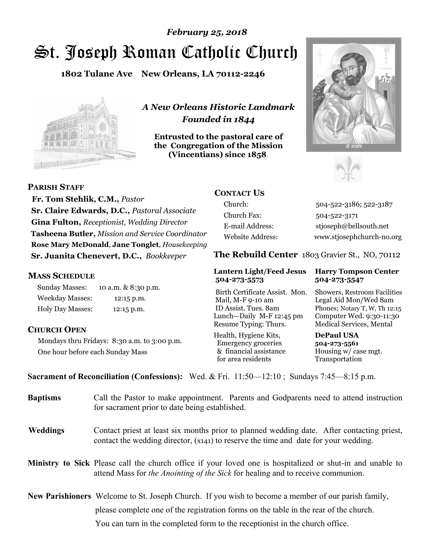# St. Joseph Roman Catholic Church *February 25, 2018*

**1802 Tulane Ave New Orleans, LA 70112-2246**



*A New Orleans Historic Landmark Founded in 1844* 

**Entrusted to the pastoral care of the Congregation of the Mission (Vincentians) since 1858**.





**PARISH STAFF**

 **Fr. Tom Stehlik, C.M.,** *Pastor* **Sr. Claire Edwards, D.C.,** *Pastoral Associate* **Gina Fulton,** *Receptionist, Wedding Director* **Tasheena Butler,** *Mission and Service Coordinator* **Rose Mary McDonald**, **Jane Tonglet**, *Housekeeping* **Sr. Juanita Chenevert, D.C.,** *Bookkeeper* 

## **MASS SCHEDULE**

Sunday Masses: 10 a.m. & 8:30 p.m. Weekday Masses: 12:15 p.m. Holy Day Masses: 12:15 p.m.

## **CHURCH OPEN**

Mondays thru Fridays: 8:30 a.m. to 3:00 p.m. One hour before each Sunday Mass

## **CONTACT US**

Church: 504-522-3186; 522-3187 Church Fax: 504-522-3171 E-mail Address: stjoseph@bellsouth.net Website Address: www.stjosephchurch-no.org

**The Rebuild Center** 1803 Gravier St., NO, 70112

### **Lantern Light/Feed Jesus Harry Tompson Center 504-273-5573 504-273-5547**

Birth Certificate Assist. Mon. Showers, Restroom Facilities Mail, M-F 9-10 am Legal Aid Mon/Wed 8am ID Assist. Tues. 8am Phones; Notary T, W, Th 12:15 Lunch—Daily M-F 12:45 pm Computer Wed. 9:30-11:30 Resume Typing: Thurs. Medical Services, Mental

Health, Hygiene Kits, **DePaul USA**  Emergency groceries **504-273-5561** & financial assistance Housing w/ case mgt.<br>for area residents Transportation for area residents

**Sacrament of Reconciliation (Confessions):** Wed. & Fri. 11:50—12:10 ; Sundays 7:45—8:15 p.m.

| <b>Baptisms</b> | Call the Pastor to make appointment. Parents and Godparents need to attend instruction<br>for sacrament prior to date being established.                                                            |  |
|-----------------|-----------------------------------------------------------------------------------------------------------------------------------------------------------------------------------------------------|--|
| <b>Weddings</b> | Contact priest at least six months prior to planned wedding date. After contacting priest,<br>contact the wedding director, (x141) to reserve the time and date for your wedding.                   |  |
|                 | <b>Ministry to Sick</b> Please call the church office if your loved one is hospitalized or shut-in and unable to<br>attend Mass for the Anointing of the Sick for healing and to receive communion. |  |
|                 | New Parishioners Welcome to St. Joseph Church. If you wish to become a member of our parish family,                                                                                                 |  |
|                 | please complete one of the registration forms on the table in the rear of the church.                                                                                                               |  |
|                 | You can turn in the completed form to the reception is the church office.                                                                                                                           |  |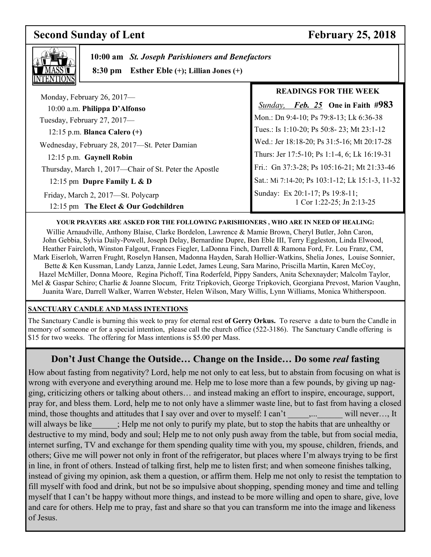## **Second Sunday of Lent** February 25, 2018

٦



 **10:00 am** *St. Joseph Parishioners and Benefactors*

 **8:30 pm Esther Eble (+); Lillian Jones (+)**

|                                                                            | <b>READINGS FOR THE WEEK</b>                                 |
|----------------------------------------------------------------------------|--------------------------------------------------------------|
| Monday, February 26, 2017-<br>10:00 a.m. Philippa D'Alfonso                | <i>Sunday, Feb. 25</i> One in Faith #983                     |
| Tuesday, February 27, 2017—                                                | Mon.: Dn 9:4-10; Ps 79:8-13; Lk 6:36-38                      |
| 12:15 p.m. Blanca Calero $(+)$                                             | Tues.: Is 1:10-20; Ps 50:8-23; Mt 23:1-12                    |
| Wednesday, February 28, 2017-St. Peter Damian                              | Wed.: Jer 18:18-20; Ps 31:5-16; Mt 20:17-28                  |
| 12:15 p.m. Gaynell Robin                                                   | Thurs: Jer 17:5-10; Ps 1:1-4, 6; Lk 16:19-31                 |
| Thursday, March 1, 2017—Chair of St. Peter the Apostle                     | Fri.: Gn 37:3-28; Ps 105:16-21; Mt 21:33-46                  |
| 12:15 pm Dupre Family L $\&$ D                                             | Sat.: Mi 7:14-20; Ps 103:1-12; Lk 15:1-3, 11-32              |
| Friday, March 2, 2017—St. Polycarp<br>12:15 pm The Elect & Our Godchildren | Sunday: Ex 20:1-17; Ps 19:8-11;<br>1 Cor 1:22-25; Jn 2:13-25 |

## **YOUR PRAYERS ARE ASKED FOR THE FOLLOWING PARISHIONERS , WHO ARE IN NEED OF HEALING:**

 Willie Arnaudville, Anthony Blaise, Clarke Bordelon, Lawrence & Mamie Brown, Cheryl Butler, John Caron, John Gebbia, Sylvia Daily-Powell, Joseph Delay, Bernardine Dupre, Ben Eble III, Terry Eggleston, Linda Elwood, Heather Faircloth, Winston Falgout, Frances Fiegler, LaDonna Finch, Darrell & Ramona Ford, Fr. Lou Franz, CM, Mark Eiserloh, Warren Frught, Roselyn Hansen, Madonna Hayden, Sarah Hollier-Watkins, Shelia Jones, Louise Sonnier, Bette & Ken Kussman, Landy Lanza, Jannie Ledet, James Leung, Sara Marino, Priscilla Martin, Karen McCoy, Hazel McMiller, Donna Moore, Regina Pichoff, Tina Roderfeld, Pippy Sanders, Anita Schexnayder; Malcolm Taylor, Mel & Gaspar Schiro; Charlie & Joanne Slocum, Fritz Tripkovich, George Tripkovich, Georgiana Prevost, Marion Vaughn, Juanita Ware, Darrell Walker, Warren Webster, Helen Wilson, Mary Willis, Lynn Williams, Monica Whitherspoon.

## **SANCTUARY CANDLE AND MASS INTENTIONS**

The Sanctuary Candle is burning this week to pray for eternal rest **of Gerry Orkus.** To reserve a date to burn the Candle in memory of someone or for a special intention, please call the church office (522-3186). The Sanctuary Candle offering is \$15 for two weeks. The offering for Mass intentions is \$5.00 per Mass.

## **Don't Just Change the Outside… Change on the Inside… Do some** *real* **fasting**

How about fasting from negativity? Lord, help me not only to eat less, but to abstain from focusing on what is wrong with everyone and everything around me. Help me to lose more than a few pounds, by giving up nagging, criticizing others or talking about others… and instead making an effort to inspire, encourage, support, pray for, and bless them. Lord, help me to not only have a slimmer waste line, but to fast from having a closed mind, those thoughts and attitudes that I say over and over to myself: I can't \_\_\_\_,... will never..., It will always be like  $\cdot$ ; Help me not only to purify my plate, but to stop the habits that are unhealthy or destructive to my mind, body and soul; Help me to not only push away from the table, but from social media, internet surfing, TV and exchange for them spending quality time with you, my spouse, children, friends, and others; Give me will power not only in front of the refrigerator, but places where I'm always trying to be first in line, in front of others. Instead of talking first, help me to listen first; and when someone finishes talking, instead of giving my opinion, ask them a question, or affirm them. Help me not only to resist the temptation to fill myself with food and drink, but not be so impulsive about shopping, spending money and time and telling myself that I can't be happy without more things, and instead to be more willing and open to share, give, love and care for others. Help me to pray, fast and share so that you can transform me into the image and likeness of Jesus.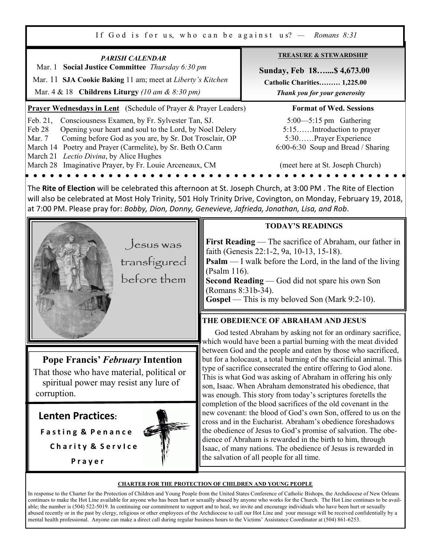If God is for us, who can be against us<sup>9</sup>  $-$  Romans  $8:31$ 

|                                                                                                                                                                                                                                                                                                                                                                          |                                    | II OUGHS TUI US, WHO CAH UC AGAILIST US: $-$ Nomans 0.91                                                                                                                                                                                                                                                                                                                                                                                                                                                                               |  |
|--------------------------------------------------------------------------------------------------------------------------------------------------------------------------------------------------------------------------------------------------------------------------------------------------------------------------------------------------------------------------|------------------------------------|----------------------------------------------------------------------------------------------------------------------------------------------------------------------------------------------------------------------------------------------------------------------------------------------------------------------------------------------------------------------------------------------------------------------------------------------------------------------------------------------------------------------------------------|--|
| <b>PARISH CALENDAR</b><br>Mar. 1 Social Justice Committee Thursday 6:30 pm<br>Mar. 11 SJA Cookie Baking 11 am; meet at Liberty's Kitchen<br>Mar. 4 & 18 Childrens Liturgy (10 am & 8:30 pm)                                                                                                                                                                              |                                    | <b>TREASURE &amp; STEWARDSHIP</b><br>Sunday, Feb 18 \$4,673.00<br><b>Catholic Charities 1,225.00</b><br>Thank you for your generosity                                                                                                                                                                                                                                                                                                                                                                                                  |  |
| Prayer Wednesdays in Lent (Schedule of Prayer & Prayer Leaders)                                                                                                                                                                                                                                                                                                          |                                    | <b>Format of Wed. Sessions</b>                                                                                                                                                                                                                                                                                                                                                                                                                                                                                                         |  |
| Feb. 21,<br>Consciousness Examen, by Fr. Sylvester Tan, SJ.<br>Opening your heart and soul to the Lord, by Noel Delery<br>Feb 28<br>Coming before God as you are, by Sr. Dot Trosclair, OP<br>Mar. 7<br>March 14 Poetry and Prayer (Carmelite), by Sr. Beth O.Carm<br>March 21 Lectio Divina, by Alice Hughes<br>March 28 Imaginative Prayer, by Fr. Louie Arceneaux, CM |                                    | $5:00$ — $5:15$ pm Gathering<br>5:15Introduction to prayer<br>5:30Prayer Experience<br>6:00-6:30 Soup and Bread / Sharing<br>(meet here at St. Joseph Church)                                                                                                                                                                                                                                                                                                                                                                          |  |
|                                                                                                                                                                                                                                                                                                                                                                          |                                    |                                                                                                                                                                                                                                                                                                                                                                                                                                                                                                                                        |  |
| The Rite of Election will be celebrated this afternoon at St. Joseph Church, at 3:00 PM. The Rite of Election<br>will also be celebrated at Most Holy Trinity, 501 Holy Trinity Drive, Covington, on Monday, February 19, 2018,<br>at 7:00 PM. Please pray for: Bobby, Dion, Donny, Genevieve, Jafrieda, Jonathan, Lisa, and Rob.                                        |                                    |                                                                                                                                                                                                                                                                                                                                                                                                                                                                                                                                        |  |
|                                                                                                                                                                                                                                                                                                                                                                          |                                    | <b>TODAY'S READINGS</b>                                                                                                                                                                                                                                                                                                                                                                                                                                                                                                                |  |
| $J$ esus was<br>transfígured<br>before them                                                                                                                                                                                                                                                                                                                              | (Psalm 116).<br>(Romans 8:31b-34). | First Reading — The sacrifice of Abraham, our father in<br>faith (Genesis 22:1-2, 9a, 10-13, 15-18).<br><b>Psalm</b> — I walk before the Lord, in the land of the living<br>Second Reading - God did not spare his own Son<br>Gospel — This is my beloved Son (Mark 9:2-10).                                                                                                                                                                                                                                                           |  |
|                                                                                                                                                                                                                                                                                                                                                                          |                                    | THE OBEDIENCE OF ABRAHAM AND JESUS                                                                                                                                                                                                                                                                                                                                                                                                                                                                                                     |  |
|                                                                                                                                                                                                                                                                                                                                                                          |                                    | God tested Abraham by asking not for an ordinary sacrifice,                                                                                                                                                                                                                                                                                                                                                                                                                                                                            |  |
| <b>Pope Francis' February Intention</b><br>That those who have material, political or<br>spiritual power may resist any lure of<br>corruption.                                                                                                                                                                                                                           |                                    | which would have been a partial burning with the meat divided<br>between God and the people and eaten by those who sacrificed,<br>but for a holocaust, a total burning of the sacrificial animal. This<br>type of sacrifice consecrated the entire offering to God alone.<br>This is what God was asking of Abraham in offering his only<br>son, Isaac. When Abraham demonstrated his obedience, that<br>was enough. This story from today's scriptures foretells the<br>completion of the blood sacrifices of the old covenant in the |  |
| <b>Lenten Practices:</b>                                                                                                                                                                                                                                                                                                                                                 |                                    | new covenant: the blood of God's own Son, offered to us on the                                                                                                                                                                                                                                                                                                                                                                                                                                                                         |  |
| <b>Fasting &amp; Penance</b>                                                                                                                                                                                                                                                                                                                                             |                                    | cross and in the Eucharist. Abraham's obedience foreshadows<br>the obedience of Jesus to God's promise of salvation. The obe-                                                                                                                                                                                                                                                                                                                                                                                                          |  |
| <b>Charity &amp; Service</b>                                                                                                                                                                                                                                                                                                                                             |                                    | dience of Abraham is rewarded in the birth to him, through                                                                                                                                                                                                                                                                                                                                                                                                                                                                             |  |
| Prayer                                                                                                                                                                                                                                                                                                                                                                   |                                    | Isaac, of many nations. The obedience of Jesus is rewarded in<br>the salvation of all people for all time.                                                                                                                                                                                                                                                                                                                                                                                                                             |  |
| <b>CHARTER FOR THE PROTECTION OF CHILDREN AND YOUNG PEOPLE</b>                                                                                                                                                                                                                                                                                                           |                                    |                                                                                                                                                                                                                                                                                                                                                                                                                                                                                                                                        |  |

In response to the Charter for the Protection of Children and Young People from the United States Conference of Catholic Bishops, the Archdiocese of New Orleans continues to make the Hot Line available for anyone who has been hurt or sexually abused by anyone who works for the Church. The Hot Line continues to be available; the number is (504) 522-5019. In continuing our commitment to support and to heal, we invite and encourage individuals who have been hurt or sexually abused recently or in the past by clergy, religious or other employees of the Archdiocese to call our Hot Line and your message will be received confidentially by a mental health professional. Anyone can make a direct call during regular business hours to the Victims' Assistance Coordinator at (504) 861-6253.